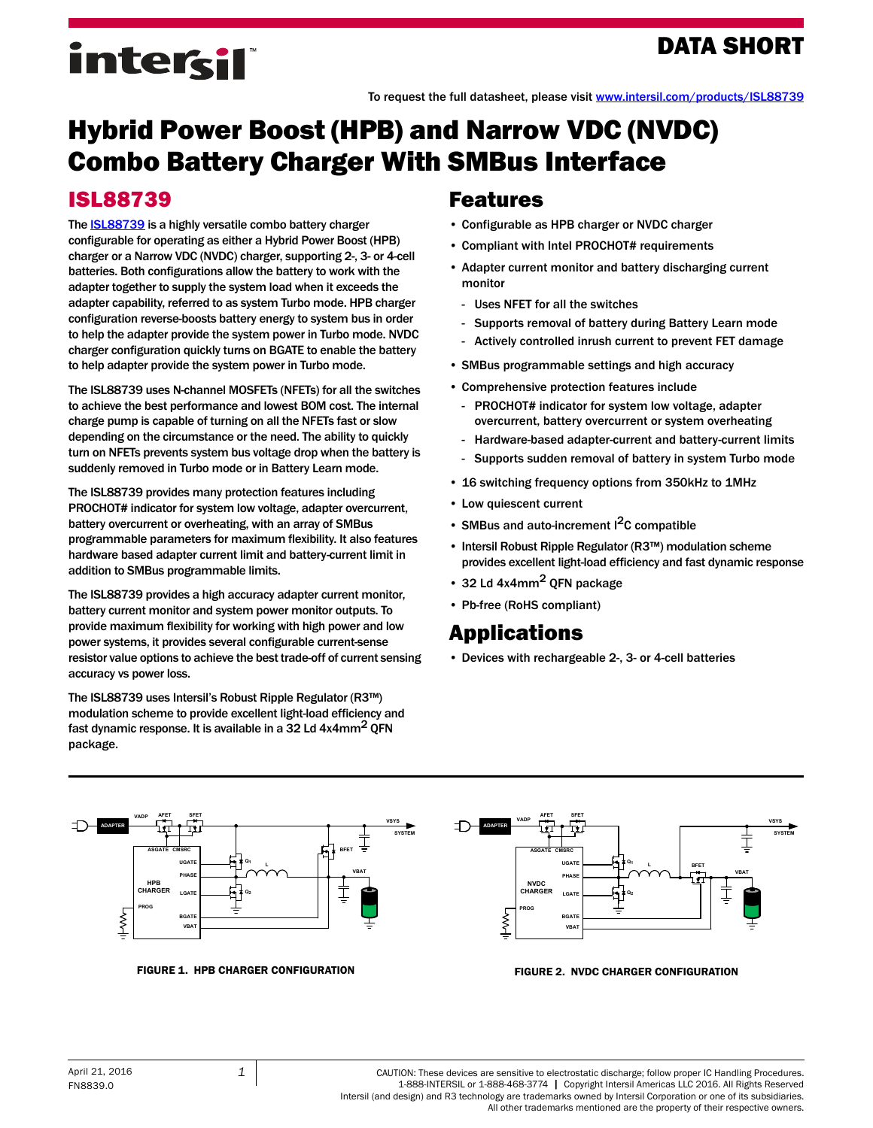## DATA SHORT

# intersil

To request the full datasheet, please visit [www.intersil.com/products/ISL88739](http://www.intersil.com/products/isl88739?utm_source=intersil&utm_medium=data-short&utm_campaign=isl88739-short-header)

## Hybrid Power Boost (HPB) and Narrow VDC (NVDC) Combo Battery Charger With SMBus Interface

#### ISL88739

The **ISL88739** is a highly versatile combo battery charger configurable for operating as either a Hybrid Power Boost (HPB) charger or a Narrow VDC (NVDC) charger, supporting 2-, 3- or 4-cell batteries. Both configurations allow the battery to work with the adapter together to supply the system load when it exceeds the adapter capability, referred to as system Turbo mode. HPB charger configuration reverse-boosts battery energy to system bus in order to help the adapter provide the system power in Turbo mode. NVDC charger configuration quickly turns on BGATE to enable the battery to help adapter provide the system power in Turbo mode.

The ISL88739 uses N-channel MOSFETs (NFETs) for all the switches to achieve the best performance and lowest BOM cost. The internal charge pump is capable of turning on all the NFETs fast or slow depending on the circumstance or the need. The ability to quickly turn on NFETs prevents system bus voltage drop when the battery is suddenly removed in Turbo mode or in Battery Learn mode.

The ISL88739 provides many protection features including PROCHOT# indicator for system low voltage, adapter overcurrent, battery overcurrent or overheating, with an array of SMBus programmable parameters for maximum flexibility. It also features hardware based adapter current limit and battery-current limit in addition to SMBus programmable limits.

The ISL88739 provides a high accuracy adapter current monitor, battery current monitor and system power monitor outputs. To provide maximum flexibility for working with high power and low power systems, it provides several configurable current-sense resistor value options to achieve the best trade-off of current sensing accuracy vs power loss.

The ISL88739 uses Intersil's Robust Ripple Regulator (R3™) modulation scheme to provide excellent light-load efficiency and fast dynamic response. It is available in a 32 Ld 4x4mm<sup>2</sup> QFN package.

#### Features

- Configurable as HPB charger or NVDC charger
- Compliant with Intel PROCHOT# requirements
- Adapter current monitor and battery discharging current monitor
	- Uses NFET for all the switches
	- Supports removal of battery during Battery Learn mode
	- Actively controlled inrush current to prevent FET damage
- SMBus programmable settings and high accuracy
- Comprehensive protection features include
	- PROCHOT# indicator for system low voltage, adapter overcurrent, battery overcurrent or system overheating
	- Hardware-based adapter-current and battery-current limits
	- Supports sudden removal of battery in system Turbo mode
- 16 switching frequency options from 350kHz to 1MHz
- Low quiescent current
- SMBus and auto-increment I<sup>2</sup>C compatible
- Intersil Robust Ripple Regulator (R3™) modulation scheme provides excellent light-load efficiency and fast dynamic response
- 32 Ld  $4x4mm^2$  OFN package
- Pb-free (RoHS compliant)

### [Applications](http://www.intersil.com/cda/deviceinfo/0,1477,ISL21400,00.html#app)

• Devices with rechargeable 2-, 3- or 4-cell batteries



FIGURE 1. HPB CHARGER CONFIGURATION FIGURE 2. NVDC CHARGER CONFIGURATION